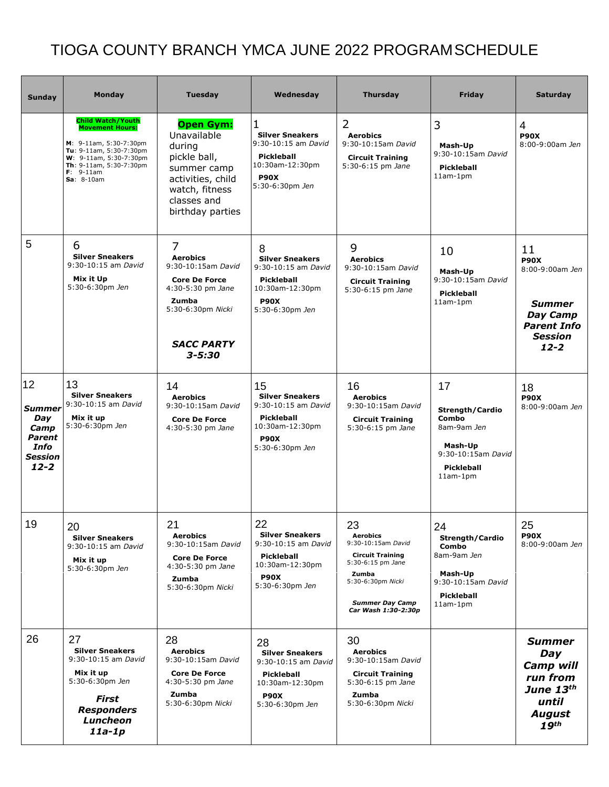## TIOGA COUNTY BRANCH YMCA JUNE 2022 PROGRAMSCHEDULE

| <b>Sunday</b>                                                                      | <b>Monday</b>                                                                                                                                                                               | <b>Tuesday</b>                                                                                                                                                           | Wednesday                                                                                                                     | <b>Thursday</b>                                                                                                                                                            | Friday                                                                                                            | <b>Saturday</b>                                                                                                       |
|------------------------------------------------------------------------------------|---------------------------------------------------------------------------------------------------------------------------------------------------------------------------------------------|--------------------------------------------------------------------------------------------------------------------------------------------------------------------------|-------------------------------------------------------------------------------------------------------------------------------|----------------------------------------------------------------------------------------------------------------------------------------------------------------------------|-------------------------------------------------------------------------------------------------------------------|-----------------------------------------------------------------------------------------------------------------------|
|                                                                                    | <b>Child Watch/Youth</b><br><b>Movement Hours:</b><br>M: 9-11am, 5:30-7:30pm<br>Tu: 9-11am, 5:30-7:30pm<br>W: 9-11am, 5:30-7:30pm<br>Th: 9-11am, 5:30-7:30pm<br>$F: 9-11am$<br>$Sa: 8-10am$ | <b>Open Gym:</b><br>Unavailable<br>during<br>pickle ball,<br>summer camp<br>activities, child<br>watch, fitness<br>classes and<br>birthday parties                       | 1<br><b>Silver Sneakers</b><br>9:30-10:15 am David<br><b>Pickleball</b><br>10:30am-12:30pm<br><b>P90X</b><br>5:30-6:30pm Jen  | 2<br><b>Aerobics</b><br>9:30-10:15am David<br><b>Circuit Training</b><br>5:30-6:15 pm Jane                                                                                 | 3<br>Mash-Up<br>9:30-10:15am David<br><b>Pickleball</b><br>$11am-1pm$                                             | 4<br><b>P90X</b><br>8:00-9:00am Jen                                                                                   |
| 5                                                                                  | 6<br><b>Silver Sneakers</b><br>9:30-10:15 am David<br>Mix it Up<br>5:30-6:30pm Jen                                                                                                          | $\overline{7}$<br><b>Aerobics</b><br>9:30-10:15am David<br><b>Core De Force</b><br>4:30-5:30 pm Jane<br><b>Zumba</b><br>5:30-6:30pm Nicki<br><b>SACC PARTY</b><br>3-5:30 | 8<br><b>Silver Sneakers</b><br>9:30-10:15 am David<br><b>Pickleball</b><br>10:30am-12:30pm<br><b>P90X</b><br>5:30-6:30pm Jen  | 9<br><b>Aerobics</b><br>9:30-10:15am David<br><b>Circuit Training</b><br>5:30-6:15 pm Jane                                                                                 | 10<br>Mash-Up<br>9:30-10:15am David<br><b>Pickleball</b><br>$11am-1pm$                                            | 11<br><b>P90X</b><br>8:00-9:00am Jen<br><b>Summer</b><br>Day Camp<br><b>Parent Info</b><br><b>Session</b><br>$12 - 2$ |
| 12<br><b>Summer</b><br>Day<br>Camp<br>Parent<br>Info<br><b>Session</b><br>$12 - 2$ | 13<br><b>Silver Sneakers</b><br>9:30-10:15 am David<br>Mix it up<br>5:30-6:30pm Jen                                                                                                         | 14<br><b>Aerobics</b><br>9:30-10:15am David<br><b>Core De Force</b><br>4:30-5:30 pm Jane                                                                                 | 15<br><b>Silver Sneakers</b><br>9:30-10:15 am David<br>Pickleball<br>10:30am-12:30pm<br><b>P90X</b><br>5:30-6:30pm Jen        | 16<br><b>Aerobics</b><br>9:30-10:15am David<br><b>Circuit Training</b><br>5:30-6:15 pm Jane                                                                                | 17<br>Strength/Cardio<br>Combo<br>8am-9am Jen<br>Mash-Up<br>9:30-10:15am David<br><b>Pickleball</b><br>$11am-1pm$ | 18<br><b>P90X</b><br>8:00-9:00am Jen                                                                                  |
| 19                                                                                 | 20<br><b>Silver Sneakers</b><br>9:30-10:15 am David<br>Mix it up<br>5:30-6:30pm Jen                                                                                                         | 21<br><b>Aerobics</b><br>9:30-10:15am David<br><b>Core De Force</b><br>4:30-5:30 pm Jane<br>Zumba<br>5:30-6:30pm Nicki                                                   | 22<br><b>Silver Sneakers</b><br>9:30-10:15 am David<br><b>Pickleball</b><br>10:30am-12:30pm<br><b>P90X</b><br>5:30-6:30pm Jen | 23<br><b>Aerobics</b><br>9:30-10:15am David<br><b>Circuit Training</b><br>5:30-6:15 pm Jane<br>Zumba<br>5:30-6:30pm Nicki<br><b>Summer Day Camp</b><br>Car Wash 1:30-2:30p | 24<br>Strength/Cardio<br>Combo<br>8am-9am Jen<br>Mash-Up<br>9:30-10:15am David<br><b>Pickleball</b><br>$11am-1pm$ | 25<br><b>P90X</b><br>8:00-9:00am Jen                                                                                  |
| 26                                                                                 | 27<br><b>Silver Sneakers</b><br>9:30-10:15 am David<br>Mix it up<br>5:30-6:30pm Jen<br><b>First</b><br><b>Responders</b><br>Luncheon<br>$11a-1p$                                            | 28<br><b>Aerobics</b><br>9:30-10:15am David<br><b>Core De Force</b><br>4:30-5:30 pm Jane<br>Zumba<br>5:30-6:30pm Nicki                                                   | 28<br><b>Silver Sneakers</b><br>9:30-10:15 am David<br>Pickleball<br>10:30am-12:30pm<br><b>P90X</b><br>5:30-6:30pm Jen        | 30<br><b>Aerobics</b><br>9:30-10:15am David<br><b>Circuit Training</b><br>5:30-6:15 pm Jane<br>Zumba<br>5:30-6:30pm Nicki                                                  |                                                                                                                   | <b>Summer</b><br>Day<br>Camp will<br>run from<br>June 13th<br>until<br><b>August</b><br>19th                          |